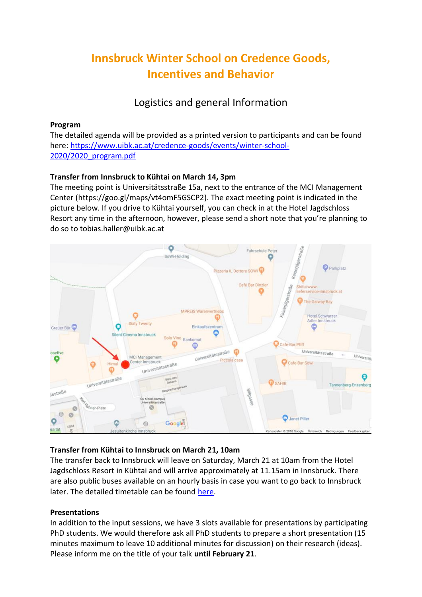# **Innsbruck Winter School on Credence Goods, Incentives and Behavior**

Logistics and general Information

### **Program**

The detailed agenda will be provided as a printed version to participants and can be found here: [https://www.uibk.ac.at/credence-goods/events/winter-school-](https://www.uibk.ac.at/credence-goods/events/winter-school-2020/2020_program.pdf)[2020/2020\\_program.pdf](https://www.uibk.ac.at/credence-goods/events/winter-school-2020/2020_program.pdf)

## **Transfer from Innsbruck to Kühtai on March 14, 3pm**

The meeting point is Universitätsstraße 15a, next to the entrance of the MCI Management Center [\(https://goo.gl/maps/vt4omF5GSCP2\)](https://goo.gl/maps/vt4omF5GSCP2). The exact meeting point is indicated in the picture below. If you drive to Kühtai yourself, you can check in at the Hotel Jagdschloss Resort any time in the afternoon, however, please send a short note that you're planning to do so to tobias.haller@uibk.ac.at



## **Transfer from Kühtai to Innsbruck on March 21, 10am**

The transfer back to Innsbruck will leave on Saturday, March 21 at 10am from the Hotel Jagdschloss Resort in Kühtai and will arrive approximately at 11.15am in Innsbruck. There are also public buses available on an hourly basis in case you want to go back to Innsbruck later. The detailed timetable can be found [here.](https://www.kuehtai.info/files/bus_innsbruck-kuehtai.pdf)

## **Presentations**

In addition to the input sessions, we have 3 slots available for presentations by participating PhD students. We would therefore ask all PhD students to prepare a short presentation (15 minutes maximum to leave 10 additional minutes for discussion) on their research (ideas). Please inform me on the title of your talk **until February 21**.